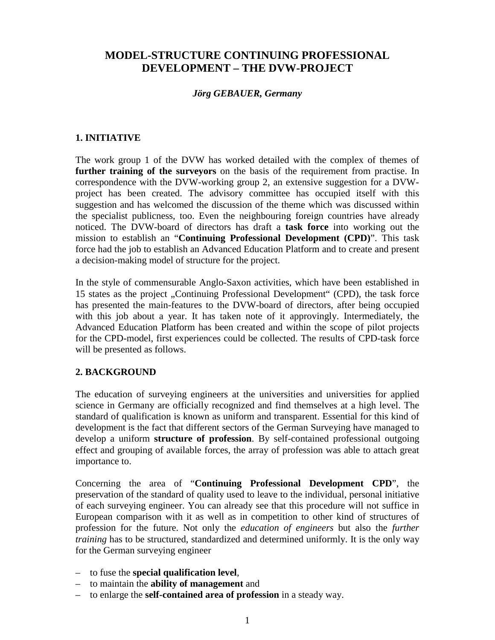# **MODEL-STRUCTURE CONTINUING PROFESSIONAL DEVELOPMENT – THE DVW-PROJECT**

### *Jörg GEBAUER, Germany*

### **1. INITIATIVE**

The work group 1 of the DVW has worked detailed with the complex of themes of **further training of the surveyors** on the basis of the requirement from practise. In correspondence with the DVW-working group 2, an extensive suggestion for a DVWproject has been created. The advisory committee has occupied itself with this suggestion and has welcomed the discussion of the theme which was discussed within the specialist publicness, too. Even the neighbouring foreign countries have already noticed. The DVW-board of directors has draft a **task force** into working out the mission to establish an "**Continuing Professional Development (CPD)**". This task force had the job to establish an Advanced Education Platform and to create and present a decision-making model of structure for the project.

In the style of commensurable Anglo-Saxon activities, which have been established in 15 states as the project "Continuing Professional Development" (CPD), the task force has presented the main-features to the DVW-board of directors, after being occupied with this job about a year. It has taken note of it approvingly. Intermediately, the Advanced Education Platform has been created and within the scope of pilot projects for the CPD-model, first experiences could be collected. The results of CPD-task force will be presented as follows.

# **2. BACKGROUND**

The education of surveying engineers at the universities and universities for applied science in Germany are officially recognized and find themselves at a high level. The standard of qualification is known as uniform and transparent. Essential for this kind of development is the fact that different sectors of the German Surveying have managed to develop a uniform **structure of profession**. By self-contained professional outgoing effect and grouping of available forces, the array of profession was able to attach great importance to.

Concerning the area of "**Continuing Professional Development CPD**", the preservation of the standard of quality used to leave to the individual, personal initiative of each surveying engineer. You can already see that this procedure will not suffice in European comparison with it as well as in competition to other kind of structures of profession for the future. Not only the *education of engineers* but also the *further training* has to be structured, standardized and determined uniformly. It is the only way for the German surveying engineer

- to fuse the **special qualification level**,
- to maintain the **ability of management** and
- to enlarge the **self-contained area of profession** in a steady way.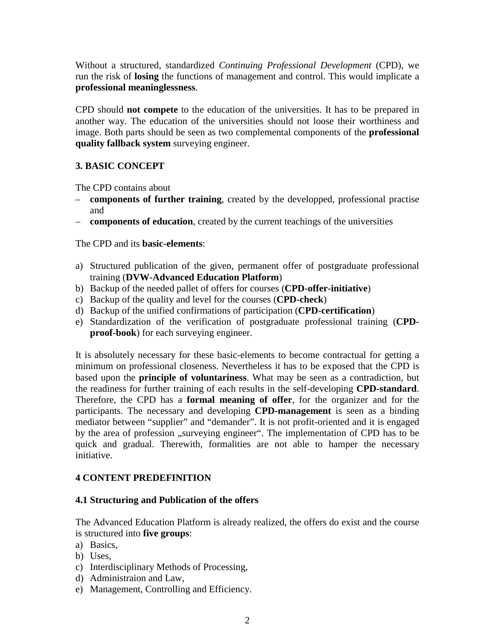Without a structured, standardized *Continuing Professional Development* (CPD), we run the risk of **losing** the functions of management and control. This would implicate a **professional meaninglessness**.

CPD should **not compete** to the education of the universities. It has to be prepared in another way. The education of the universities should not loose their worthiness and image. Both parts should be seen as two complemental components of the **professional quality fallback system** surveying engineer.

# **3. BASIC CONCEPT**

The CPD contains about

- **components of further training**, created by the developped, professional practise and
- **components of education**, created by the current teachings of the universities

The CPD and its **basic-elements**:

- a) Structured publication of the given, permanent offer of postgraduate professional training (**DVW-Advanced Education Platform**)
- b) Backup of the needed pallet of offers for courses (**CPD-offer-initiative**)
- c) Backup of the quality and level for the courses (**CPD-check**)
- d) Backup of the unified confirmations of participation (**CPD-certification**)
- e) Standardization of the verification of postgraduate professional training (**CPDproof-book**) for each surveying engineer.

It is absolutely necessary for these basic-elements to become contractual for getting a minimum on professional closeness. Nevertheless it has to be exposed that the CPD is based upon the **principle of voluntariness**. What may be seen as a contradiction, but the readiness for further training of each results in the self-developing **CPD-standard**. Therefore, the CPD has a **formal meaning of offer**, for the organizer and for the participants. The necessary and developing **CPD-management** is seen as a binding mediator between "supplier" and "demander". It is not profit-oriented and it is engaged by the area of profession "surveying engineer". The implementation of CPD has to be quick and gradual. Therewith, formalities are not able to hamper the necessary initiative.

# **4 CONTENT PREDEFINITION**

#### **4.1 Structuring and Publication of the offers**

The Advanced Education Platform is already realized, the offers do exist and the course is structured into **five groups**:

- a) Basics,
- b) Uses,
- c) Interdisciplinary Methods of Processing,
- d) Administraion and Law,
- e) Management, Controlling and Efficiency.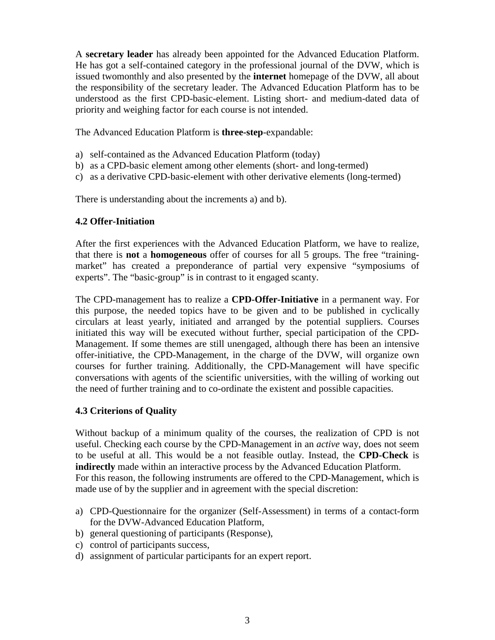A **secretary leader** has already been appointed for the Advanced Education Platform. He has got a self-contained category in the professional journal of the DVW, which is issued twomonthly and also presented by the **internet** homepage of the DVW, all about the responsibility of the secretary leader. The Advanced Education Platform has to be understood as the first CPD-basic-element. Listing short- and medium-dated data of priority and weighing factor for each course is not intended.

The Advanced Education Platform is **three-step**-expandable:

- a) self-contained as the Advanced Education Platform (today)
- b) as a CPD-basic element among other elements (short- and long-termed)
- c) as a derivative CPD-basic-element with other derivative elements (long-termed)

There is understanding about the increments a) and b).

#### **4.2 Offer-Initiation**

After the first experiences with the Advanced Education Platform, we have to realize, that there is **not** a **homogeneous** offer of courses for all 5 groups. The free "trainingmarket" has created a preponderance of partial very expensive "symposiums of experts". The "basic-group" is in contrast to it engaged scanty.

The CPD-management has to realize a **CPD-Offer-Initiative** in a permanent way. For this purpose, the needed topics have to be given and to be published in cyclically circulars at least yearly, initiated and arranged by the potential suppliers. Courses initiated this way will be executed without further, special participation of the CPD-Management. If some themes are still unengaged, although there has been an intensive offer-initiative, the CPD-Management, in the charge of the DVW, will organize own courses for further training. Additionally, the CPD-Management will have specific conversations with agents of the scientific universities, with the willing of working out the need of further training and to co-ordinate the existent and possible capacities.

#### **4.3 Criterions of Quality**

Without backup of a minimum quality of the courses, the realization of CPD is not useful. Checking each course by the CPD-Management in an *active* way, does not seem to be useful at all. This would be a not feasible outlay. Instead, the **CPD-Check** is **indirectly** made within an interactive process by the Advanced Education Platform. For this reason, the following instruments are offered to the CPD-Management, which is made use of by the supplier and in agreement with the special discretion:

- a) CPD-Questionnaire for the organizer (Self-Assessment) in terms of a contact-form for the DVW-Advanced Education Platform,
- b) general questioning of participants (Response),
- c) control of participants success,
- d) assignment of particular participants for an expert report.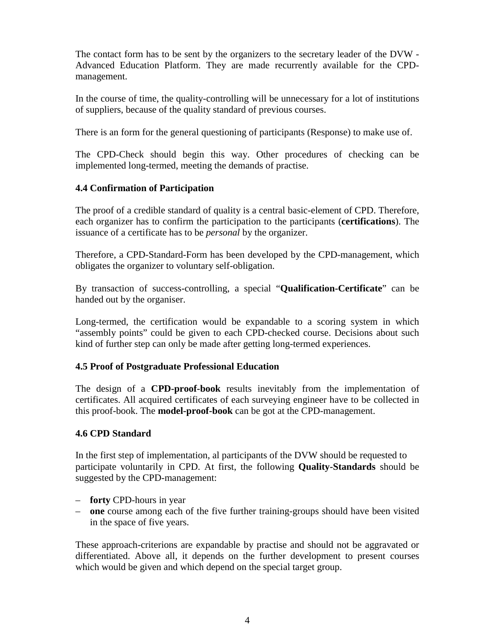The contact form has to be sent by the organizers to the secretary leader of the DVW - Advanced Education Platform. They are made recurrently available for the CPDmanagement.

In the course of time, the quality-controlling will be unnecessary for a lot of institutions of suppliers, because of the quality standard of previous courses.

There is an form for the general questioning of participants (Response) to make use of.

The CPD-Check should begin this way. Other procedures of checking can be implemented long-termed, meeting the demands of practise.

# **4.4 Confirmation of Participation**

The proof of a credible standard of quality is a central basic-element of CPD. Therefore, each organizer has to confirm the participation to the participants (**certifications**). The issuance of a certificate has to be *personal* by the organizer.

Therefore, a CPD-Standard-Form has been developed by the CPD-management, which obligates the organizer to voluntary self-obligation.

By transaction of success-controlling, a special "**Qualification-Certificate**" can be handed out by the organiser.

Long-termed, the certification would be expandable to a scoring system in which "assembly points" could be given to each CPD-checked course. Decisions about such kind of further step can only be made after getting long-termed experiences.

# **4.5 Proof of Postgraduate Professional Education**

The design of a **CPD-proof-book** results inevitably from the implementation of certificates. All acquired certificates of each surveying engineer have to be collected in this proof-book. The **model-proof-book** can be got at the CPD-management.

#### **4.6 CPD Standard**

In the first step of implementation, al participants of the DVW should be requested to participate voluntarily in CPD. At first, the following **Quality-Standards** should be suggested by the CPD-management:

- **forty** CPD-hours in year
- **one** course among each of the five further training-groups should have been visited in the space of five years.

These approach-criterions are expandable by practise and should not be aggravated or differentiated. Above all, it depends on the further development to present courses which would be given and which depend on the special target group.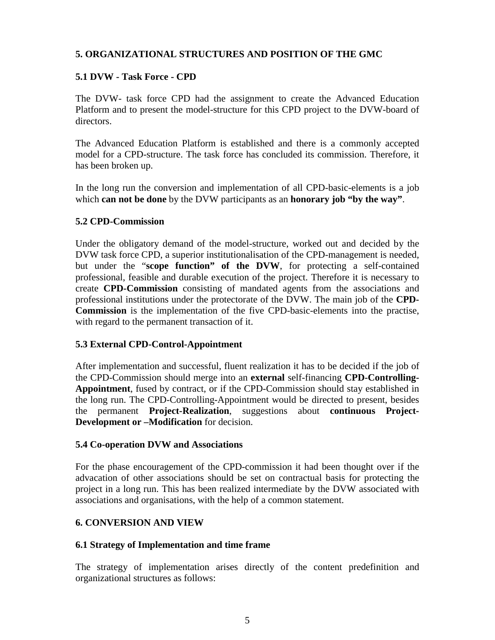### **5. ORGANIZATIONAL STRUCTURES AND POSITION OF THE GMC**

### **5.1 DVW - Task Force - CPD**

The DVW- task force CPD had the assignment to create the Advanced Education Platform and to present the model-structure for this CPD project to the DVW-board of directors.

The Advanced Education Platform is established and there is a commonly accepted model for a CPD-structure. The task force has concluded its commission. Therefore, it has been broken up.

In the long run the conversion and implementation of all CPD-basic-elements is a job which **can not be done** by the DVW participants as an **honorary job "by the way"**.

#### **5.2 CPD-Commission**

Under the obligatory demand of the model-structure, worked out and decided by the DVW task force CPD, a superior institutionalisation of the CPD-management is needed, but under the "**scope function" of the DVW**, for protecting a self-contained professional, feasible and durable execution of the project. Therefore it is necessary to create **CPD-Commission** consisting of mandated agents from the associations and professional institutions under the protectorate of the DVW. The main job of the **CPD-Commission** is the implementation of the five CPD-basic-elements into the practise, with regard to the permanent transaction of it.

#### **5.3 External CPD-Control-Appointment**

After implementation and successful, fluent realization it has to be decided if the job of the CPD-Commission should merge into an **external** self-financing **CPD-Controlling-Appointment**, fused by contract, or if the CPD-Commission should stay established in the long run. The CPD-Controlling-Appointment would be directed to present, besides the permanent **Project-Realization**, suggestions about **continuous Project-Development or –Modification** for decision.

#### **5.4 Co-operation DVW and Associations**

For the phase encouragement of the CPD-commission it had been thought over if the advacation of other associations should be set on contractual basis for protecting the project in a long run. This has been realized intermediate by the DVW associated with associations and organisations, with the help of a common statement.

#### **6. CONVERSION AND VIEW**

#### **6.1 Strategy of Implementation and time frame**

The strategy of implementation arises directly of the content predefinition and organizational structures as follows: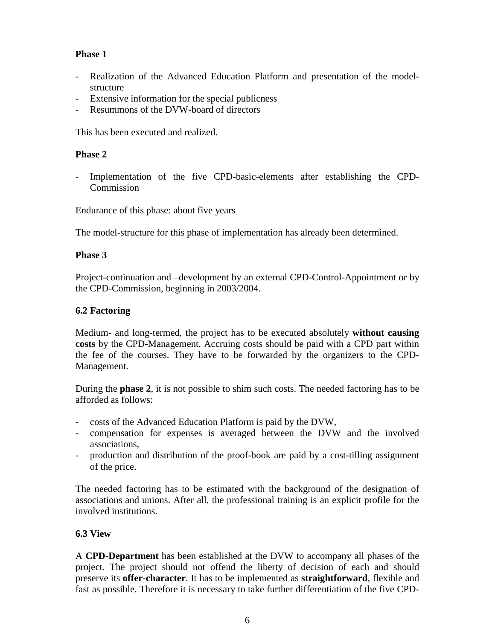# **Phase 1**

- Realization of the Advanced Education Platform and presentation of the modelstructure
- Extensive information for the special publicness
- Resummons of the DVW-board of directors

This has been executed and realized.

### **Phase 2**

- Implementation of the five CPD-basic-elements after establishing the CPD-Commission

Endurance of this phase: about five years

The model-structure for this phase of implementation has already been determined.

### **Phase 3**

Project-continuation and –development by an external CPD-Control-Appointment or by the CPD-Commission, beginning in 2003/2004.

### **6.2 Factoring**

Medium- and long-termed, the project has to be executed absolutely **without causing costs** by the CPD-Management. Accruing costs should be paid with a CPD part within the fee of the courses. They have to be forwarded by the organizers to the CPD-Management.

During the **phase 2**, it is not possible to shim such costs. The needed factoring has to be afforded as follows:

- costs of the Advanced Education Platform is paid by the DVW,
- compensation for expenses is averaged between the DVW and the involved associations,
- production and distribution of the proof-book are paid by a cost-tilling assignment of the price.

The needed factoring has to be estimated with the background of the designation of associations and unions. After all, the professional training is an explicit profile for the involved institutions.

# **6.3 View**

A **CPD-Department** has been established at the DVW to accompany all phases of the project. The project should not offend the liberty of decision of each and should preserve its **offer-character**. It has to be implemented as **straightforward**, flexible and fast as possible. Therefore it is necessary to take further differentiation of the five CPD-